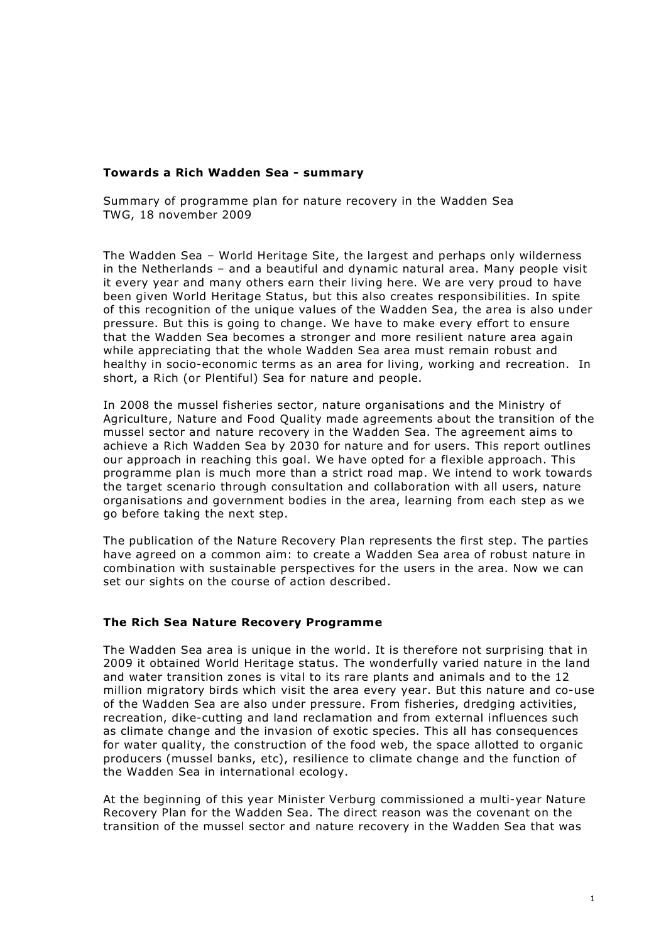#### **Towards a Rich Wadden Sea - summary**

Summary of programme plan for nature recovery in the Wadden Sea TWG, 18 november 2009

The Wadden Sea – World Heritage Site, the largest and perhaps only wilderness in the Netherlands – and a beautiful and dynamic natural area. Many people visit it every year and many others earn their living here. We are very proud to have been given World Heritage Status, but this also creates responsibilities. In spite of this recognition of the unique values of the Wadden Sea, the area is also under pressure. But this is going to change. We have to make every effort to ensure that the Wadden Sea becomes a stronger and more resilient nature area again while appreciating that the whole Wadden Sea area must remain robust and healthy in socio-economic terms as an area for living, working and recreation. In short, a Rich (or Plentiful) Sea for nature and people.

In 2008 the mussel fisheries sector, nature organisations and the Ministry of Agriculture, Nature and Food Quality made agreements about the transition of the mussel sector and nature recovery in the Wadden Sea. The agreement aims to achieve a Rich Wadden Sea by 2030 for nature and for users. This report outlines our approach in reaching this goal. We have opted for a flexible approach. This programme plan is much more than a strict road map. We intend to work towards the target scenario through consultation and collaboration with all users, nature organisations and government bodies in the area, learning from each step as we go before taking the next step.

The publication of the Nature Recovery Plan represents the first step. The parties have agreed on a common aim: to create a Wadden Sea area of robust nature in combination with sustainable perspectives for the users in the area. Now we can set our sights on the course of action described.

### **The Rich Sea Nature Recovery Programme**

The Wadden Sea area is unique in the world. It is therefore not surprising that in 2009 it obtained World Heritage status. The wonderfully varied nature in the land and water transition zones is vital to its rare plants and animals and to the 12 million migratory birds which visit the area every year. But this nature and co-use of the Wadden Sea are also under pressure. From fisheries, dredging activities, recreation, dike-cutting and land reclamation and from external influences such as climate change and the invasion of exotic species. This all has consequences for water quality, the construction of the food web, the space allotted to organic producers (mussel banks, etc), resilience to climate change and the function of the Wadden Sea in international ecology.

At the beginning of this year Minister Verburg commissioned a multi-year Nature Recovery Plan for the Wadden Sea. The direct reason was the covenant on the transition of the mussel sector and nature recovery in the Wadden Sea that was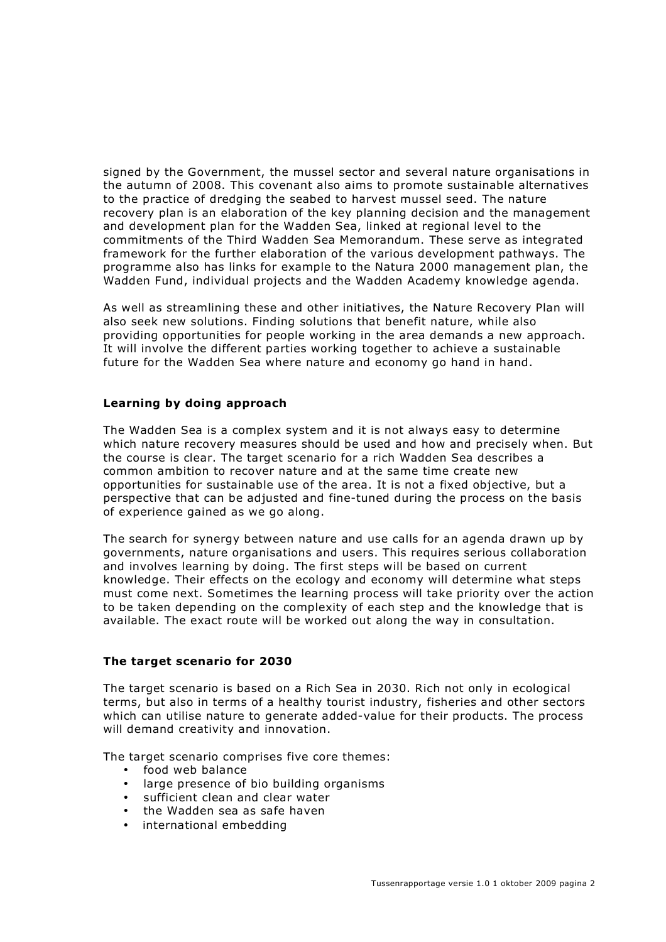signed by the Government, the mussel sector and several nature organisations in the autumn of 2008. This covenant also aims to promote sustainable alternatives to the practice of dredging the seabed to harvest mussel seed. The nature recovery plan is an elaboration of the key planning decision and the management and development plan for the Wadden Sea, linked at regional level to the commitments of the Third Wadden Sea Memorandum. These serve as integrated framework for the further elaboration of the various development pathways. The programme also has links for example to the Natura 2000 management plan, the Wadden Fund, individual projects and the Wadden Academy knowledge agenda.

As well as streamlining these and other initiatives, the Nature Recovery Plan will also seek new solutions. Finding solutions that benefit nature, while also providing opportunities for people working in the area demands a new approach. It will involve the different parties working together to achieve a sustainable future for the Wadden Sea where nature and economy go hand in hand.

# **Learning by doing approach**

The Wadden Sea is a complex system and it is not always easy to determine which nature recovery measures should be used and how and precisely when. But the course is clear. The target scenario for a rich Wadden Sea describes a common ambition to recover nature and at the same time create new opportunities for sustainable use of the area. It is not a fixed objective, but a perspective that can be adjusted and fine-tuned during the process on the basis of experience gained as we go along.

The search for synergy between nature and use calls for an agenda drawn up by governments, nature organisations and users. This requires serious collaboration and involves learning by doing. The first steps will be based on current knowledge. Their effects on the ecology and economy will determine what steps must come next. Sometimes the learning process will take priority over the action to be taken depending on the complexity of each step and the knowledge that is available. The exact route will be worked out along the way in consultation.

### **The target scenario for 2030**

The target scenario is based on a Rich Sea in 2030. Rich not only in ecological terms, but also in terms of a healthy tourist industry, fisheries and other sectors which can utilise nature to generate added-value for their products. The process will demand creativity and innovation.

The target scenario comprises five core themes:

- food web balance
- large presence of bio building organisms
- sufficient clean and clear water
- the Wadden sea as safe haven
- international embedding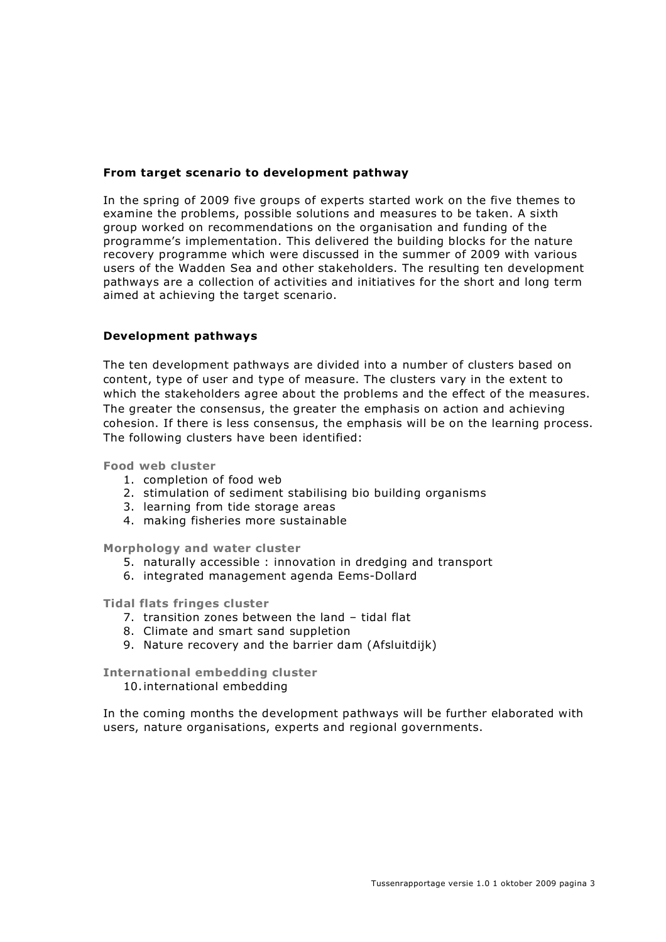### **From target scenario to development pathway**

In the spring of 2009 five groups of experts started work on the five themes to examine the problems, possible solutions and measures to be taken. A sixth group worked on recommendations on the organisation and funding of the programme's implementation. This delivered the building blocks for the nature recovery programme which were discussed in the summer of 2009 with various users of the Wadden Sea and other stakeholders. The resulting ten development pathways are a collection of activities and initiatives for the short and long term aimed at achieving the target scenario.

#### **Development pathways**

The ten development pathways are divided into a number of clusters based on content, type of user and type of measure. The clusters vary in the extent to which the stakeholders agree about the problems and the effect of the measures. The greater the consensus, the greater the emphasis on action and achieving cohesion. If there is less consensus, the emphasis will be on the learning process. The following clusters have been identified:

**Food web cluster**

- 1. completion of food web
- 2. stimulation of sediment stabilising bio building organisms
- 3. learning from tide storage areas
- 4. making fisheries more sustainable

**Morphology and water cluster**

- 5. naturally accessible : innovation in dredging and transport
- 6. integrated management agenda Eems-Dollard

**Tidal flats fringes cluster**

- 7. transition zones between the land tidal flat
- 8. Climate and smart sand suppletion
- 9. Nature recovery and the barrier dam (Afsluitdijk)

**International embedding cluster**

10.international embedding

In the coming months the development pathways will be further elaborated with users, nature organisations, experts and regional governments.